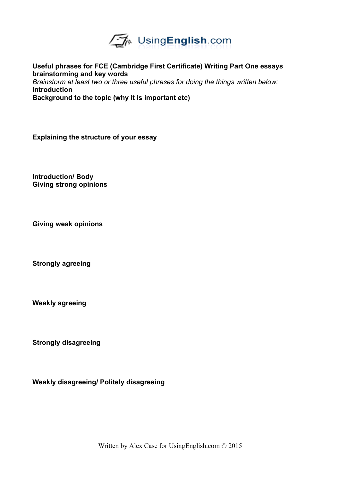

**Useful phrases for FCE (Cambridge First Certificate) Writing Part One essays brainstorming and key words** *Brainstorm at least two or three useful phrases for doing the things written below:* **Introduction**

**Background to the topic (why it is important etc)**

**Explaining the structure of your essay**

**Introduction/ Body Giving strong opinions**

**Giving weak opinions**

**Strongly agreeing**

**Weakly agreeing**

**Strongly disagreeing**

**Weakly disagreeing/ Politely disagreeing**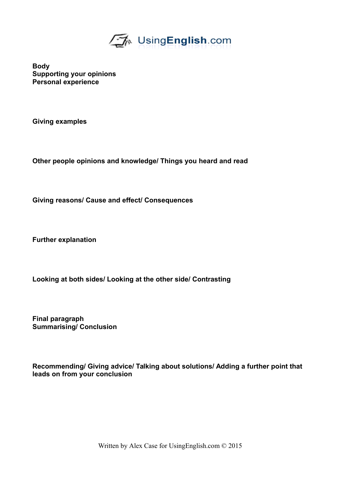

**Body Supporting your opinions Personal experience**

**Giving examples**

**Other people opinions and knowledge/ Things you heard and read**

**Giving reasons/ Cause and effect/ Consequences**

**Further explanation**

**Looking at both sides/ Looking at the other side/ Contrasting**

**Final paragraph Summarising/ Conclusion**

**Recommending/ Giving advice/ Talking about solutions/ Adding a further point that leads on from your conclusion**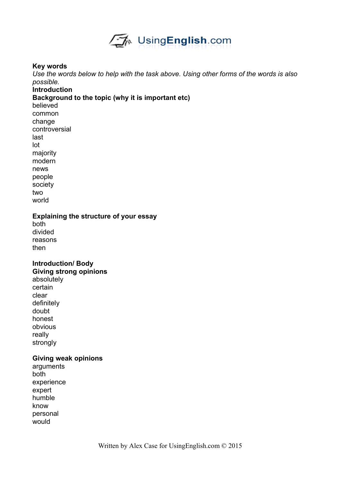

#### **Key words**

*Use the words below to help with the task above. Using other forms of the words is also possible.* 

#### **Introduction**

#### **Background to the topic (why it is important etc)**

believed common change controversial last lot majority modern news people society two world

**Explaining the structure of your essay**

both divided reasons then

### **Introduction/ Body Giving strong opinions**

absolutely certain clear definitely doubt honest obvious really strongly

### **Giving weak opinions**

arguments both experience expert humble know personal would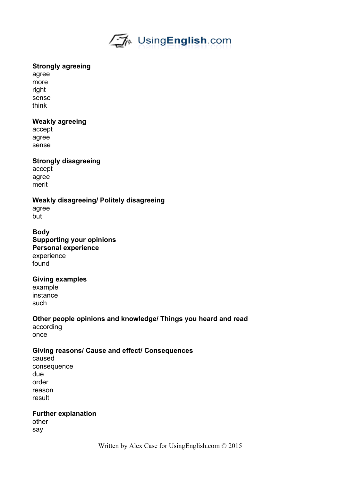

### **Strongly agreeing**

agree more right sense think

### **Weakly agreeing**

accept agree sense

# **Strongly disagreeing**

accept agree merit

**Weakly disagreeing/ Politely disagreeing** agree but

**Body Supporting your opinions Personal experience** experience found

### **Giving examples**

example instance such

**Other people opinions and knowledge/ Things you heard and read** according once

### **Giving reasons/ Cause and effect/ Consequences**

caused consequence due order reason result

**Further explanation** other say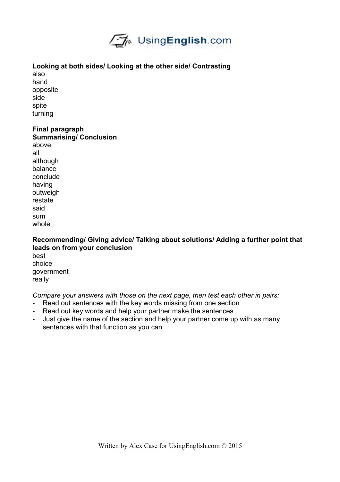

# **Looking at both sides/ Looking at the other side/ Contrasting**

also hand opposite side spite turning

# **Final paragraph**

**Summarising/ Conclusion** above all although balance conclude having outweigh restate said sum whole

**Recommending/ Giving advice/ Talking about solutions/ Adding a further point that leads on from your conclusion** best choice government really

*Compare your answers with those on the next page, then test each other in pairs:*

- Read out sentences with the key words missing from one section
- Read out key words and help your partner make the sentences
- Just give the name of the section and help your partner come up with as many sentences with that function as you can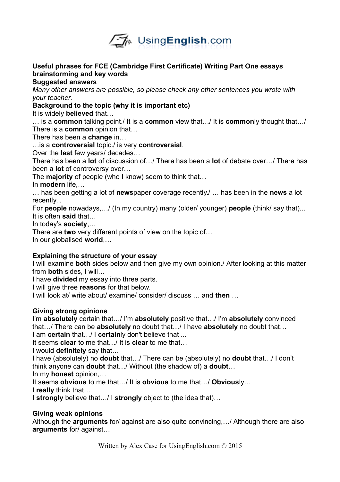

# **Useful phrases for FCE (Cambridge First Certificate) Writing Part One essays brainstorming and key words**

**Suggested answers**

*Many other answers are possible, so please check any other sentences you wrote with your teacher.* 

### **Background to the topic (why it is important etc)**

It is widely **believed** that…

… is a **common** talking point./ It is a **common** view that…/ It is **common**ly thought that…/ There is a **common** opinion that…

There has been a **change** in…

…is a **controversial** topic./ is very **controversial**.

Over the **last** few years/ decades…

There has been a **lot** of discussion of…/ There has been a **lot** of debate over…/ There has been a **lot** of controversy over…

The **majority** of people (who I know) seem to think that…

In **modern** life,…

… has been getting a lot of **news**paper coverage recently./ … has been in the **news** a lot recently. .

For **people** nowadays,…/ (In my country) many (older/ younger) **people** (think/ say that)... It is often **said** that…

In today's **society**,…

There are **two** very different points of view on the topic of…

In our globalised **world**,…

# **Explaining the structure of your essay**

I will examine **both** sides below and then give my own opinion./ After looking at this matter from **both** sides, I will…

I have **divided** my essay into three parts.

I will give three **reasons** for that below.

I will look at/ write about/ examine/ consider/ discuss … and **then** …

# **Giving strong opinions**

I'm **absolutely** certain that…/ I'm **absolutely** positive that…/ I'm **absolutely** convinced that…/ There can be **absolutely** no doubt that…/ I have **absolutely** no doubt that…

I am **certain** that…/ I **certain**ly don't believe that ...

It seems **clear** to me that…/ It is **clear** to me that…

I would **definitely** say that…

I have (absolutely) no **doubt** that…/ There can be (absolutely) no **doubt** that…/ I don't think anyone can **doubt** that…/ Without (the shadow of) a **doubt**…

In my **honest** opinion,…

It seems **obvious** to me that…/ It is **obvious** to me that…/ **Obvious**ly…

I **really** think that…

I **strongly** believe that…/ I **strongly** object to (the idea that)…

# **Giving weak opinions**

Although the **arguments** for/ against are also quite convincing,…/ Although there are also **arguments** for/ against…

Written by Alex Case for UsingEnglish.com © 2015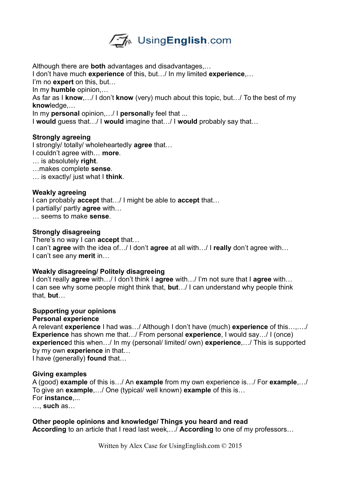

Although there are **both** advantages and disadvantages,…

I don't have much **experience** of this, but…/ In my limited **experience**,…

I'm no **expert** on this, but…

In my **humble** opinion,…

As far as I **know**,…/ I don't **know** (very) much about this topic, but…/ To the best of my **know**ledge,…

In my **personal** opinion,…/ I **personal**ly feel that ...

I **would** guess that…/ I **would** imagine that…/ I **would** probably say that…

### **Strongly agreeing**

I strongly/ totally/ wholeheartedly **agree** that…

I couldn't agree with… **more**.

… is absolutely **right**.

…makes complete **sense**.

… is exactly/ just what I **think**.

### **Weakly agreeing**

I can probably **accept** that…/ I might be able to **accept** that… I partially/ partly **agree** with… … seems to make **sense**.

### **Strongly disagreeing**

There's no way I can **accept** that…

I can't **agree** with the idea of…/ I don't **agree** at all with…/ I **really** don't agree with… I can't see any **merit** in…

### **Weakly disagreeing/ Politely disagreeing**

I don't really **agree** with…/ I don't think I **agree** with…/ I'm not sure that I **agree** with… I can see why some people might think that, **but**…/ I can understand why people think that, **but**…

### **Supporting your opinions**

### **Personal experience**

A relevant **experience** I had was…/ Although I don't have (much) **experience** of this…,…./ **Experience** has shown me that…/ From personal **experience**, I would say…/ I (once) **experience**d this when…/ In my (personal/ limited/ own) **experience**,…/ This is supported by my own **experience** in that…

I have (generally) **found** that…

### **Giving examples**

A (good) **example** of this is…/ An **example** from my own experience is…/ For **example**,…/ To give an **example**,…/ One (typical/ well known) **example** of this is… For **instance**,...

…, **such** as…

# **Other people opinions and knowledge/ Things you heard and read**

**According** to an article that I read last week,…/ **According** to one of my professors…